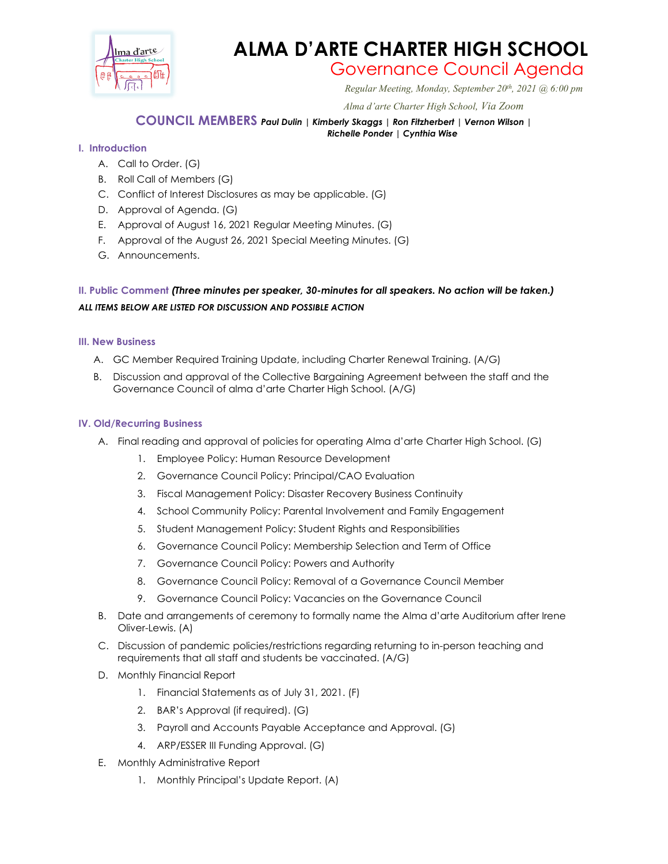

# **ALMA D'ARTE CHARTER HIGH SCHOOL**

# Governance Council Agenda *Regular Meeting, Monday, September 20th, 2021 @ 6:00 pm*

 *Alma d'arte Charter High School, Via Zoom*

# **COUNCIL MEMBERS** *Paul Dulin | Kimberly Skaggs | Ron Fitzherbert <sup>|</sup> Vernon Wilson | Richelle Ponder | Cynthia Wise*

# **I. Introduction**

- A. Call to Order. (G)
- B. Roll Call of Members (G)
- C. Conflict of Interest Disclosures as may be applicable. (G)
- D. Approval of Agenda. (G)
- E. Approval of August 16, 2021 Regular Meeting Minutes. (G)
- F. Approval of the August 26, 2021 Special Meeting Minutes. (G)
- G. Announcements.

# **II. Public Comment** *(Three minutes per speaker, 30-minutes for all speakers. No action will be taken.) ALL ITEMS BELOW ARE LISTED FOR DISCUSSION AND POSSIBLE ACTION*

# **III. New Business**

- A. GC Member Required Training Update, including Charter Renewal Training. (A/G)
- B. Discussion and approval of the Collective Bargaining Agreement between the staff and the Governance Council of alma d'arte Charter High School. (A/G)

# **IV. Old/Recurring Business**

- A. Final reading and approval of policies for operating Alma d'arte Charter High School. (G)
	- 1. Employee Policy: Human Resource Development
	- 2. Governance Council Policy: Principal/CAO Evaluation
	- 3. Fiscal Management Policy: Disaster Recovery Business Continuity
	- 4. School Community Policy: Parental Involvement and Family Engagement
	- 5. Student Management Policy: Student Rights and Responsibilities
	- 6. Governance Council Policy: Membership Selection and Term of Office
	- 7. Governance Council Policy: Powers and Authority
	- 8. Governance Council Policy: Removal of a Governance Council Member
	- 9. Governance Council Policy: Vacancies on the Governance Council
- B. Date and arrangements of ceremony to formally name the Alma d'arte Auditorium after Irene Oliver-Lewis. (A)
- C. Discussion of pandemic policies/restrictions regarding returning to in-person teaching and requirements that all staff and students be vaccinated. (A/G)
- D. Monthly Financial Report
	- 1. Financial Statements as of July 31, 2021. (F)
	- 2. BAR's Approval (if required). (G)
	- 3. Payroll and Accounts Payable Acceptance and Approval. (G)
	- 4. ARP/ESSER III Funding Approval. (G)
- E. Monthly Administrative Report
	- 1. Monthly Principal's Update Report. (A)